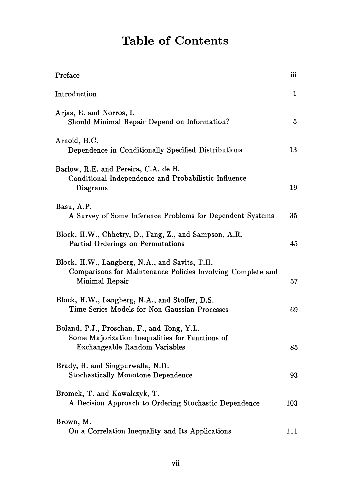## Table of Contents

| Preface                                                                                                                        | iii |
|--------------------------------------------------------------------------------------------------------------------------------|-----|
| Introduction                                                                                                                   | 1   |
| Arjas, E. and Norros, I.<br>Should Minimal Repair Depend on Information?                                                       | 5   |
| Arnold, B.C.<br>Dependence in Conditionally Specified Distributions                                                            | 13  |
| Barlow, R.E. and Pereira, C.A. de B.<br>Conditional Independence and Probabilistic Influence<br>Diagrams                       | 19  |
| Basu, A.P.<br>A Survey of Some Inference Problems for Dependent Systems                                                        | 35  |
| Block, H.W., Chhetry, D., Fang, Z., and Sampson, A.R.<br>Partial Orderings on Permutations                                     | 45  |
| Block, H.W., Langberg, N.A., and Savits, T.H.<br>Comparisons for Maintenance Policies Involving Complete and<br>Minimal Repair | 57  |
| Block, H.W., Langberg, N.A., and Stoffer, D.S.<br>Time Series Models for Non-Gaussian Processes                                | 69  |
| Boland, P.J., Proschan, F., and Tong, Y.L.<br>Some Majorization Inequalities for Functions of<br>Exchangeable Random Variables | 85  |
| Brady, B. and Singpurwalla, N.D.<br><b>Stochastically Monotone Dependence</b>                                                  | 93  |
| Bromek, T. and Kowalczyk, T.<br>A Decision Approach to Ordering Stochastic Dependence                                          | 103 |
| Brown, M.<br>On a Correlation Inequality and Its Applications                                                                  | 111 |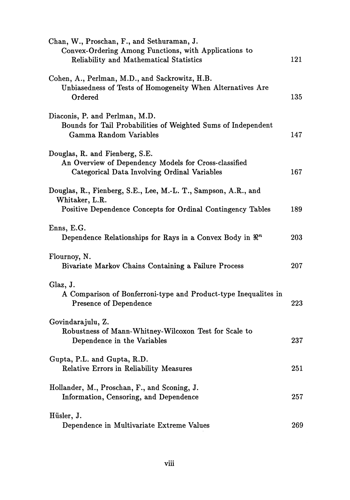| Chan, W., Proschan, F., and Sethuraman, J.<br>Convex-Ordering Among Functions, with Applications to<br>Reliability and Mathematical Statistics  | 121 |
|-------------------------------------------------------------------------------------------------------------------------------------------------|-----|
| Cohen, A., Perlman, M.D., and Sackrowitz, H.B.<br>Unbiasedness of Tests of Homogeneity When Alternatives Are<br>Ordered                         | 135 |
| Diaconis, P. and Perlman, M.D.<br>Bounds for Tail Probabilities of Weighted Sums of Independent<br>Gamma Random Variables                       | 147 |
| Douglas, R. and Fienberg, S.E.<br>An Overview of Dependency Models for Cross-classified<br>Categorical Data Involving Ordinal Variables         | 167 |
| Douglas, R., Fienberg, S.E., Lee, M.-L. T., Sampson, A.R., and<br>Whitaker, L.R.<br>Positive Dependence Concepts for Ordinal Contingency Tables | 189 |
| Enns, E.G.<br>Dependence Relationships for Rays in a Convex Body in $\mathbb{R}^n$                                                              | 203 |
| Flournoy, N.<br>Bivariate Markov Chains Containing a Failure Process                                                                            | 207 |
| Glaz, J.<br>A Comparison of Bonferroni-type and Product-type Inequalites in<br><b>Presence of Dependence</b>                                    | 223 |
| Govindarajulu, Z.<br>Robustness of Mann-Whitney-Wilcoxon Test for Scale to<br>Dependence in the Variables                                       | 237 |
| Gupta, P.L. and Gupta, R.D.<br>Relative Errors in Reliability Measures                                                                          | 251 |
| Hollander, M., Proschan, F., and Sconing, J.<br>Information, Censoring, and Dependence                                                          | 257 |
| Hüsler, J.<br>Dependence in Multivariate Extreme Values                                                                                         | 269 |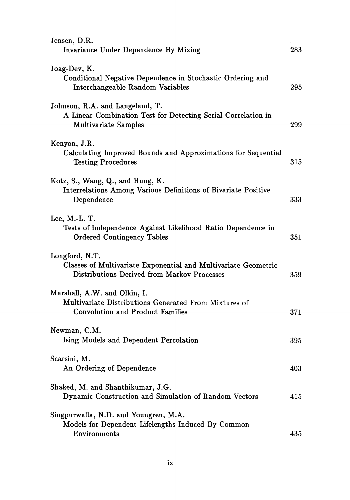| Jensen, D.R.<br>Invariance Under Dependence By Mixing                                                                           | $\rm 283$ |
|---------------------------------------------------------------------------------------------------------------------------------|-----------|
| Joag-Dev, K.<br>Conditional Negative Dependence in Stochastic Ordering and<br>Interchangeable Random Variables                  | 295       |
| Johnson, R.A. and Langeland, T.<br>A Linear Combination Test for Detecting Serial Correlation in<br><b>Multivariate Samples</b> | 299       |
| Kenyon, J.R.<br>Calculating Improved Bounds and Approximations for Sequential<br><b>Testing Procedures</b>                      | 315       |
| Kotz, S., Wang, Q., and Hung, K.<br>Interrelations Among Various Definitions of Bivariate Positive<br>Dependence                | 333       |
| Lee, M.-L. T.<br>Tests of Independence Against Likelihood Ratio Dependence in<br><b>Ordered Contingency Tables</b>              | 351       |
| Longford, N.T.<br>Classes of Multivariate Exponential and Multivariate Geometric<br>Distributions Derived from Markov Processes | 359       |
| Marshall, A.W. and Olkin, I.<br>Multivariate Distributions Generated From Mixtures of<br>Convolution and Product Families       | 371       |
| Newman, C.M.<br>Ising Models and Dependent Percolation                                                                          | 395       |
| Scarsini, M.<br>An Ordering of Dependence                                                                                       | 403       |
| Shaked, M. and Shanthikumar, J.G.<br>Dynamic Construction and Simulation of Random Vectors                                      | 415       |
| Singpurwalla, N.D. and Youngren, M.A.<br>Models for Dependent Lifelengths Induced By Common<br>Environments                     | 435       |